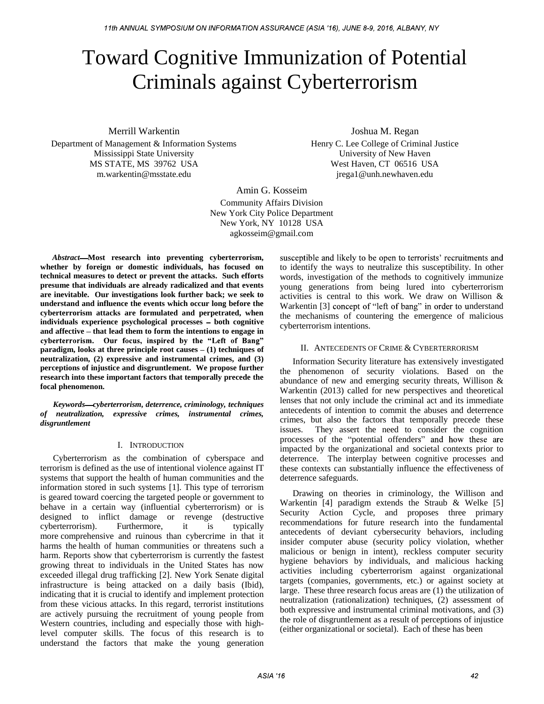# Toward Cognitive Immunization of Potential Criminals against Cyberterrorism

Merrill Warkentin

Department of Management & Information Systems Mississippi State University MS STATE, MS 39762 USA m.warkentin@msstate.edu

Joshua M. Regan Henry C. Lee College of Criminal Justice University of New Haven West Haven, CT 06516 USA jrega1@unh.newhaven.edu

Amin G. Kosseim Community Affairs Division New York City Police Department New York, NY 10128 USA agkosseim@gmail.com

*Abstract* **Most research into preventing cyberterrorism, whether by foreign or domestic individuals, has focused on technical measures to detect or prevent the attacks. Such efforts presume that individuals are already radicalized and that events are inevitable. Our investigations look further back; we seek to understand and influence the events which occur long before the cyberterrorism attacks are formulated and perpetrated, when** individuals experience psychological processes - both cognitive and affective – that lead them to form the intentions to engage in cyberterrorism. Our focus, inspired by the "Left of Bang" **paradigm, looks at three principle root causes**  $- (1)$  **techniques of neutralization, (2) expressive and instrumental crimes, and (3) perceptions of injustice and disgruntlement. We propose further research into these important factors that temporally precede the focal phenomenon.**

*Keywords cyberterrorism, deterrence, criminology, techniques of neutralization, expressive crimes, instrumental crimes, disgruntlement*

# I. INTRODUCTION

Cyberterrorism as the combination of cyberspace and terrorism is defined as the use of intentional violence against IT systems that support the health of human communities and the information stored in such systems [1]. This type of terrorism is geared toward coercing the targeted people or government to behave in a certain way (influential cyberterrorism) or is designed to inflict damage or revenge (destructive cyberterrorism). Furthermore, it is typically more comprehensive and ruinous than cybercrime in that it harms the health of human communities or threatens such a harm. Reports show that cyberterrorism is currently the fastest growing threat to individuals in the United States has now exceeded illegal drug trafficking [2]. New York Senate digital infrastructure is being attacked on a daily basis (Ibid), indicating that it is crucial to identify and implement protection from these vicious attacks. In this regard, terrorist institutions are actively pursuing the recruitment of young people from Western countries, including and especially those with highlevel computer skills. The focus of this research is to understand the factors that make the young generation

susceptible and likely to be open to terrorists' recruitments and to identify the ways to neutralize this susceptibility. In other words, investigation of the methods to cognitively immunize young generations from being lured into cyberterrorism activities is central to this work. We draw on Willison & Warkentin [3] concept of "left of bang" in order to understand the mechanisms of countering the emergence of malicious cyberterrorism intentions.

## II. ANTECEDENTS OF CRIME & CYBERTERRORISM

Information Security literature has extensively investigated the phenomenon of security violations. Based on the abundance of new and emerging security threats, Willison & Warkentin (2013) called for new perspectives and theoretical lenses that not only include the criminal act and its immediate antecedents of intention to commit the abuses and deterrence crimes, but also the factors that temporally precede these issues. They assert the need to consider the cognition processes of the "potential offenders" and how these are impacted by the organizational and societal contexts prior to deterrence. The interplay between cognitive processes and these contexts can substantially influence the effectiveness of deterrence safeguards.

Drawing on theories in criminology, the Willison and Warkentin [4] paradigm extends the Straub & Welke [5] Security Action Cycle, and proposes three primary recommendations for future research into the fundamental antecedents of deviant cybersecurity behaviors, including insider computer abuse (security policy violation, whether malicious or benign in intent), reckless computer security hygiene behaviors by individuals, and malicious hacking activities including cyberterrorism against organizational targets (companies, governments, etc.) or against society at large. These three research focus areas are (1) the utilization of neutralization (rationalization) techniques, (2) assessment of both expressive and instrumental criminal motivations, and (3) the role of disgruntlement as a result of perceptions of injustice (either organizational or societal). Each of these has been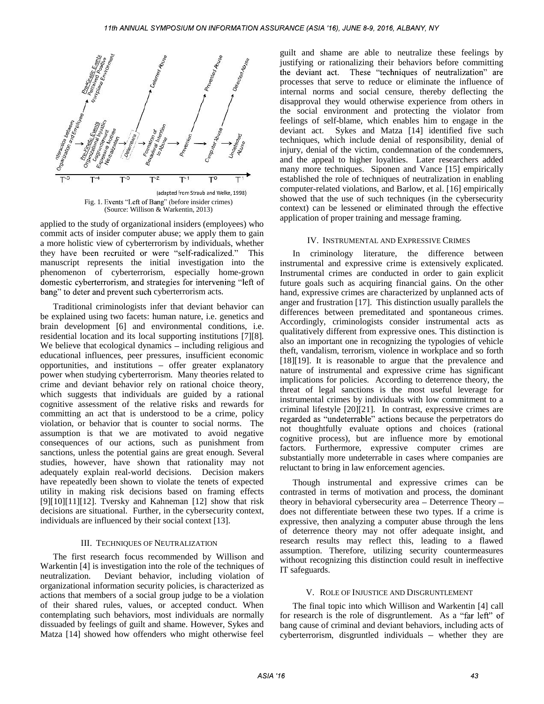

applied to the study of organizational insiders (employees) who commit acts of insider computer abuse; we apply them to gain a more holistic view of cyberterrorism by individuals, whether they have been recruited or were "self-radica manuscript represents the initial investigation into the phenomenon of cyberterrorism, especially home-grown domestic cyberterrorism, and strategies for intervening "left of bang" to deter and prevent such cyberterrorism acts.

Traditional criminologists infer that deviant behavior can be explained using two facets: human nature, i.e. genetics and brain development [6] and environmental conditions, i.e. residential location and its local supporting institutions [7][8]. We believe that ecological dynamics - including religious and educational influences, peer pressures, insufficient economic opportunities, and institutions - offer greater explanatory power when studying cyberterrorism. Many theories related to crime and deviant behavior rely on rational choice theory, which suggests that individuals are guided by a rational cognitive assessment of the relative risks and rewards for committing an act that is understood to be a crime, policy violation, or behavior that is counter to social norms. The assumption is that we are motivated to avoid negative consequences of our actions, such as punishment from sanctions, unless the potential gains are great enough. Several studies, however, have shown that rationality may not adequately explain real-world decisions. Decision makers have repeatedly been shown to violate the tenets of expected utility in making risk decisions based on framing effects  $[9][10][11][12]$ . Tversky and Kahneman  $[12]$  show that risk decisions are situational. Further, in the cybersecurity context, individuals are influenced by their social context [13].

#### III. TECHNIQUES OF NEUTRALIZATION

The first research focus recommended by Willison and Warkentin [4] is investigation into the role of the techniques of neutralization. Deviant behavior, including violation of organizational information security policies, is characterized as actions that members of a social group judge to be a violation of their shared rules, values, or accepted conduct. When contemplating such behaviors, most individuals are normally dissuaded by feelings of guilt and shame. However, Sykes and Matza [14] showed how offenders who might otherwise feel

guilt and shame are able to neutralize these feelings by justifying or rationalizing their behaviors before committing<br>the deviant act. These "techniques of neutralization" are processes that serve to reduce or eliminate the influence of internal norms and social censure, thereby deflecting the disapproval they would otherwise experience from others in the social environment and protecting the violator from feelings of self-blame, which enables him to engage in the deviant act. Sykes and Matza [14] identified five such techniques, which include denial of responsibility, denial of injury, denial of the victim, condemnation of the condemners, and the appeal to higher loyalties. Later researchers added many more techniques. Siponen and Vance [15] empirically established the role of techniques of neutralization in enabling computer-related violations, and Barlow, et al. [16] empirically showed that the use of such techniques (in the cybersecurity context) can be lessened or eliminated through the effective application of proper training and message framing.

## IV. INSTRUMENTAL AND EXPRESSIVE CRIMES

In criminology literature, the difference between instrumental and expressive crime is extensively explicated. Instrumental crimes are conducted in order to gain explicit future goals such as acquiring financial gains. On the other hand, expressive crimes are characterized by unplanned acts of anger and frustration [17]. This distinction usually parallels the differences between premeditated and spontaneous crimes. Accordingly, criminologists consider instrumental acts as qualitatively different from expressive ones. This distinction is also an important one in recognizing the typologies of vehicle theft, vandalism, terrorism, violence in workplace and so forth [18][19]. It is reasonable to argue that the prevalence and nature of instrumental and expressive crime has significant implications for policies. According to deterrence theory, the threat of legal sanctions is the most useful leverage for instrumental crimes by individuals with low commitment to a criminal lifestyle [20][21]. In contrast, expressive crimes are regarded as "undeterrable" actions because the perpetrators do not thoughtfully evaluate options and choices (rational cognitive process), but are influence more by emotional factors. Furthermore, expressive computer crimes are substantially more undeterrable in cases where companies are reluctant to bring in law enforcement agencies.

Though instrumental and expressive crimes can be contrasted in terms of motivation and process, the dominant theory in behavioral cybersecurity area - Deterrence Theory does not differentiate between these two types. If a crime is expressive, then analyzing a computer abuse through the lens of deterrence theory may not offer adequate insight, and research results may reflect this, leading to a flawed assumption. Therefore, utilizing security countermeasures without recognizing this distinction could result in ineffective IT safeguards.

#### V. ROLE OF INJUSTICE AND DISGRUNTLEMENT

The final topic into which Willison and Warkentin [4] call for research is the role of disgruntlement. As a "far left" of bang cause of criminal and deviant behaviors, including acts of  $cyb$  erterrorism, disgruntled individuals - whether they are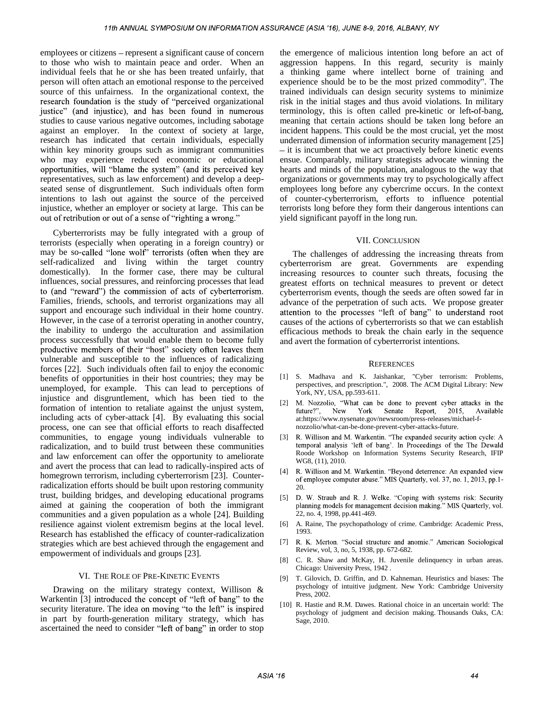employees or citizens – represent a significant cause of concern to those who wish to maintain peace and order. When an individual feels that he or she has been treated unfairly, that person will often attach an emotional response to the perceived source of this unfairness. In the organizational context, the research foundation is the study of "perceived organizational justice" (and injustice), and has been found in numerous studies to cause various negative outcomes, including sabotage against an employer. In the context of society at large, research has indicated that certain individuals, especially within key minority groups such as immigrant communities who may experience reduced economic or educational opportunities, will "blame the system" (and its perceived key representatives, such as law enforcement) and develop a deepseated sense of disgruntlement. Such individuals often form intentions to lash out against the source of the perceived injustice, whether an employer or society at large. This can be out of retribution or out of a sense of "righting a wrong."

Cyberterrorists may be fully integrated with a group of terrorists (especially when operating in a foreign country) or may be so-called "lone wolf" terrorists (often when they are self-radicalized and living within the target country domestically). In the former case, there may be cultural influences, social pressures, and reinforcing processes that lead to (and "reward") the commission of acts of cyberterrorism. Families, friends, schools, and terrorist organizations may all support and encourage such individual in their home country. attention to the processes "left of bang" to understand root However, in the case of a terrorist operating in another country, the inability to undergo the acculturation and assimilation process successfully that would enable them to become fully productive members of their "host" society often leaves them vulnerable and susceptible to the influences of radicalizing forces [22]. Such individuals often fail to enjoy the economic benefits of opportunities in their host countries; they may be unemployed, for example. This can lead to perceptions of injustice and disgruntlement, which has been tied to the formation of intention to retaliate against the unjust system, including acts of cyber-attack [4]. By evaluating this social process, one can see that official efforts to reach disaffected communities, to engage young individuals vulnerable to [3] R. Willison and M. Warkentin. "The expanded security action cycle: A radicalization, and to build trust between these communities temporal analysis 'left of bang'. radicalization, and to build trust between these communities and law enforcement can offer the opportunity to ameliorate and avert the process that can lead to radically-inspired acts of homegrown terrorism, including cyberterrorism [23]. Counterradicalization efforts should be built upon restoring community trust, building bridges, and developing educational programs aimed at gaining the cooperation of both the immigrant communities and a given population as a whole [24]. Building resilience against violent extremism begins at the local level. Research has established the efficacy of counter-radicalization strategies which are best achieved through the engagement and empowerment of individuals and groups [23].

#### VI. THE ROLE OF PRE-KINETIC EVENTS

Drawing on the military strategy context, Willison & Warkentin [3] introduced the concept of "left of bang" to the security literature. The idea on moving "to the left" is inspired in part by fourth-generation military strategy, which has ascertained the need to consider "left of bang" in order to stop

the emergence of malicious intention long before an act of aggression happens. In this regard, security is mainly a thinking game where intellect borne of training and experience should be to be the most prized commodity". The trained individuals can design security systems to minimize risk in the initial stages and thus avoid violations. In military terminology, this is often called pre kinetic or left of-bang, meaning that certain actions should be taken long before an incident happens. This could be the most crucial, yet the most underrated dimension of information security management [25] - it is incumbent that we act proactively before kinetic events ensue. Comparably, military strategists advocate winning the hearts and minds of the population, analogous to the way that organizations or governments may try to psychologically affect employees long before any cybercrime occurs. In the context of counter-cyberterrorism, efforts to influence potential terrorists long before they form their dangerous intentions can yield significant payoff in the long run.

### VII. CONCLUSION

The challenges of addressing the increasing threats from cyberterrorism are great. Governments are expending increasing resources to counter such threats, focusing the greatest efforts on technical measures to prevent or detect cyberterrorism events, though the seeds are often sowed far in advance of the perpetration of such acts. We propose greater causes of the actions of cyberterrorists so that we can establish efficacious methods to break the chain early in the sequence and avert the formation of cyberterrorist intentions.

#### **REFERENCES**

- [1] S. Madhava and K. Jaishankar, "Cyber terrorism: Problems, perspectives, and prescription.", 2008. The ACM Digital Library: New York, NY, USA, pp.593-611.
- [2] M. Nozzolio, "What can be done to prevent cyber attacks in the future?", New York Senate Report, 2015, Available at:https://www.nysenate.gov/newsroom/press-releases/michael-fnozzolio/what-can-be-done-prevent-cyber-attacks-future.
- [3] R. Willison and M. Warkentin. "The expanded security action cycle: A Roode Workshop on Information Systems Security Research, IFIP WG8, (11), 2010.
- [4] R. Willison and M. Warkentin. "Beyond deterrence: An expanded view of employee computer abuse." MIS Quarterly, vol. 37, no. 1, 2013, pp.1-20.
- [5] D. W. Straub and R. J. Welke. "Coping with systems risk: Security planning models for management decision making." MIS Quarterly, vol. 22, no. 4, 1998, pp.441-469.
- [6] A. Raine, The psychopathology of crime. Cambridge: Academic Press, 1993.
- [7] R. K. Merton. "Social structure and anomie." American Sociological Review, vol, 3, no, 5, 1938, pp. 672-682.
- [8] C. R. Shaw and McKay, H. Juvenile delinquency in urban areas. Chicago: University Press, 1942 .
- [9] T. Gilovich, D. Griffin, and D. Kahneman. Heuristics and biases: The psychology of intuitive judgment. New York: Cambridge University Press, 2002.
- [10] R. Hastie and R.M. Dawes. Rational choice in an uncertain world: The psychology of judgment and decision making. Thousands Oaks, CA: Sage, 2010.